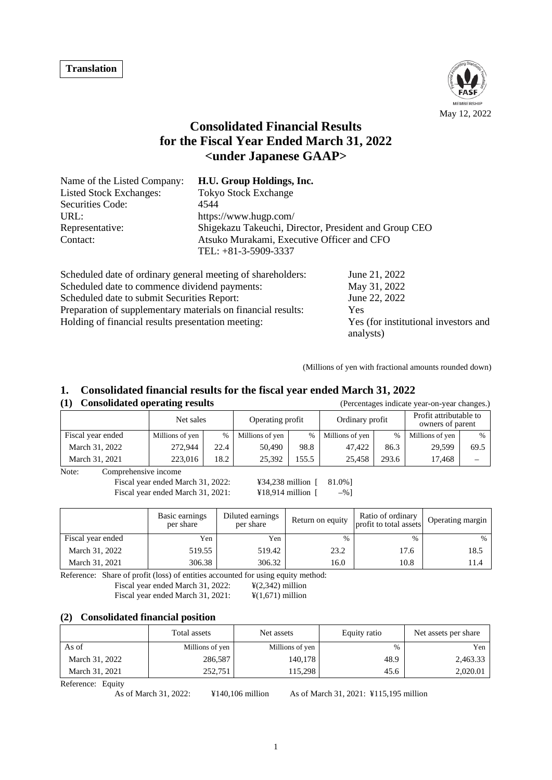

# **Consolidated Financial Results for the Fiscal Year Ended March 31, 2022 <under Japanese GAAP>**

| Name of the Listed Company:                                        | H.U. Group Holdings, Inc.                                            |  |  |  |
|--------------------------------------------------------------------|----------------------------------------------------------------------|--|--|--|
| <b>Listed Stock Exchanges:</b>                                     | <b>Tokyo Stock Exchange</b>                                          |  |  |  |
| Securities Code:                                                   | 4544                                                                 |  |  |  |
| URL:                                                               | https://www.hugp.com/                                                |  |  |  |
| Representative:                                                    | Shigekazu Takeuchi, Director, President and Group CEO                |  |  |  |
| Contact:                                                           | Atsuko Murakami, Executive Officer and CFO<br>TEL: $+81-3-5909-3337$ |  |  |  |
| Calcaded ad data of andiname accessor to cating of cleanshalds and | $L_{\text{max}}$ and $\Omega$                                        |  |  |  |

| Scheduled date of ordinary general meeting of shareholders:  | June 21, 2022                        |
|--------------------------------------------------------------|--------------------------------------|
| Scheduled date to commence dividend payments:                | May 31, 2022                         |
| Scheduled date to submit Securities Report:                  | June 22, 2022                        |
| Preparation of supplementary materials on financial results: | Yes                                  |
| Holding of financial results presentation meeting:           | Yes (for institutional investors and |
|                                                              | analysts)                            |

(Millions of yen with fractional amounts rounded down)

## **1. Consolidated financial results for the fiscal year ended March 31, 2022**

| <b>Consolidated operating results</b> |                 |           | (Percentages indicate year-on-year changes.) |                  |                 |                 |                 |                                            |  |
|---------------------------------------|-----------------|-----------|----------------------------------------------|------------------|-----------------|-----------------|-----------------|--------------------------------------------|--|
|                                       |                 | Net sales |                                              | Operating profit |                 | Ordinary profit |                 | Profit attributable to<br>owners of parent |  |
| Fiscal year ended                     | Millions of yen | %         | Millions of yen                              | $\%$             | Millions of yen | %               | Millions of yen | %                                          |  |
| March 31, 2022                        | 272.944         | 22.4      | 50.490                                       | 98.8             | 47.422          | 86.3            | 29.599          | 69.5                                       |  |

March 31, 2021 223,016 18.2 25,392 155.5 25,458 293.6 17,468 -Note: Comprehensive income

Fiscal year ended March 31, 2022: ¥34,238 million [ 81.0%] Fiscal year ended March 31, 2021:  $\qquad \qquad \text{418,914 million } [ -\% ]$ 

|                   | Basic earnings<br>per share | Diluted earnings<br>per share | Return on equity | Ratio of ordinary<br>profit to total assets | Operating margin |
|-------------------|-----------------------------|-------------------------------|------------------|---------------------------------------------|------------------|
| Fiscal year ended | Yen                         | Yen                           | $\%$             | $\frac{0}{0}$                               | $\%$             |
| March 31, 2022    | 519.55                      | 519.42                        | 23.2             | 17.6                                        | 18.5             |
| March 31, 2021    | 306.38                      | 306.32                        | 16.0             | 10.8                                        | 11.4             |

Reference: Share of profit (loss) of entities accounted for using equity method: Fiscal year ended March 31, 2022: ¥(2,342) million

Fiscal year ended March 31, 2021:  $\qquad \qquad \text{\textbf{4}}(1,671) \text{ million}$ 

#### **(2) Consolidated financial position**

|                | Total assets    | Net assets      | Equity ratio | Net assets per share |
|----------------|-----------------|-----------------|--------------|----------------------|
| As of          | Millions of yen | Millions of yen | $\%$         | Yen                  |
| March 31, 2022 | 286,587         | 140,178         | 48.9         | 2,463.33             |
| March 31, 2021 | 252.751         | 115.298         | 45.6         | 2,020.01             |

Reference: Equity

As of March 31, 2022: ¥140,106 million As of March 31, 2021: ¥115,195 million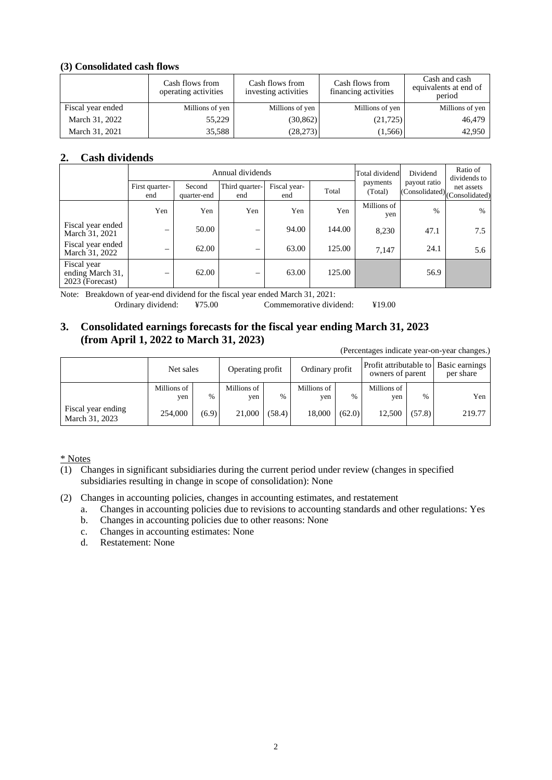## **(3) Consolidated cash flows**

|                   | Cash flows from<br>operating activities | Cash flows from<br>investing activities | Cash flows from<br>financing activities | Cash and cash<br>equivalents at end of<br>period |
|-------------------|-----------------------------------------|-----------------------------------------|-----------------------------------------|--------------------------------------------------|
| Fiscal year ended | Millions of yen                         | Millions of yen                         | Millions of yen                         | Millions of yen                                  |
| March 31, 2022    | 55,229                                  | (30, 862)                               | (21, 725)                               | 46,479                                           |
| March 31, 2021    | 35,588                                  | (28, 273)                               | (1, 566)                                | 42,950                                           |

## **2. Cash dividends**

|                                                    |                          |                       | Annual dividends      |                     | Total dividend | Dividend            | Ratio of<br>dividends to |                                                 |
|----------------------------------------------------|--------------------------|-----------------------|-----------------------|---------------------|----------------|---------------------|--------------------------|-------------------------------------------------|
|                                                    | First quarter-<br>end    | Second<br>quarter-end | Third quarter-<br>end | Fiscal year-<br>end | Total          | payments<br>(Total) | payout ratio             | net assets<br>$ $ (Consolidated) (Consolidated) |
|                                                    | Yen                      | Yen                   | Yen                   | Yen                 | Yen            | Millions of<br>yen  | $\frac{0}{0}$            | $\%$                                            |
| Fiscal year ended<br>March 31, 2021                | -                        | 50.00                 | -                     | 94.00               | 144.00         | 8,230               | 47.1                     | 7.5                                             |
| Fiscal year ended<br>March 31, 2022                |                          | 62.00                 | -                     | 63.00               | 125.00         | 7,147               | 24.1                     | 5.6                                             |
| Fiscal year<br>ending March 31,<br>2023 (Forecast) | $\overline{\phantom{m}}$ | 62.00                 | $\hspace{0.05cm}$     | 63.00               | 125.00         |                     | 56.9                     |                                                 |

Note: Breakdown of year-end dividend for the fiscal year ended March 31, 2021: Ordinary dividend: ¥75.00 Commemorative dividend: ¥19.00

## **3. Consolidated earnings forecasts for the fiscal year ending March 31, 2023 (from April 1, 2022 to March 31, 2023)**

(Percentages indicate year-on-year changes.)

|                                      | Net sales          |       | Operating profit   |        | Ordinary profit    |               | Profit attributable to Basic earnings<br>owners of parent |        | per share |
|--------------------------------------|--------------------|-------|--------------------|--------|--------------------|---------------|-----------------------------------------------------------|--------|-----------|
|                                      | Millions of<br>yen | $\%$  | Millions of<br>yen | $\%$   | Millions of<br>yen | $\frac{0}{0}$ | Millions of<br>ven                                        | $\%$   | Yen       |
| Fiscal year ending<br>March 31, 2023 | 254,000            | (6.9) | 21,000             | (58.4) | 18,000             | (62.0)        | 12,500                                                    | (57.8) | 219.77    |

\* Notes

- (1) Changes in significant subsidiaries during the current period under review (changes in specified subsidiaries resulting in change in scope of consolidation): None
- (2) Changes in accounting policies, changes in accounting estimates, and restatement
	- a. Changes in accounting policies due to revisions to accounting standards and other regulations: Yes
	- b. Changes in accounting policies due to other reasons: None
	- c. Changes in accounting estimates: None
	- d. Restatement: None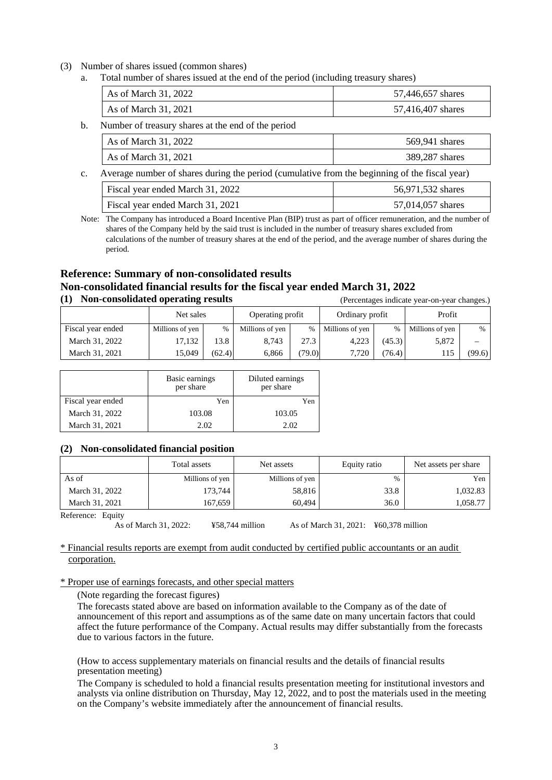#### (3) Number of shares issued (common shares)

a. Total number of shares issued at the end of the period (including treasury shares)

| As of March 31, 2022 | 57,446,657 shares |
|----------------------|-------------------|
| As of March 31, 2021 | 57,416,407 shares |

b. Number of treasury shares at the end of the period

|                | As of March 31, 2022                                                                          | 569,941 shares |
|----------------|-----------------------------------------------------------------------------------------------|----------------|
|                | As of March 31, 2021                                                                          | 389,287 shares |
| $\mathbf{c}$ . | Average number of shares during the period (cumulative from the beginning of the fiscal year) |                |
|                |                                                                                               |                |

| Fiscal year ended March 31, 2022 | 56,971,532 shares |
|----------------------------------|-------------------|
| Fiscal year ended March 31, 2021 | 57,014,057 shares |

Note: The Company has introduced a Board Incentive Plan (BIP) trust as part of officer remuneration, and the number of shares of the Company held by the said trust is included in the number of treasury shares excluded from calculations of the number of treasury shares at the end of the period, and the average number of shares during the period.

## **Reference: Summary of non-consolidated results Non-consolidated financial results for the fiscal year ended March 31, 2022 (1) Non-consolidated operating results** (Percentages indicate year-on-year changes.)

Net sales Depending profit | Ordinary profit | Profit Fiscal year ended Millions of yen % Millions of yen % Millions of yen % Millions of yen % Millions of yen % March 31, 2022 17, 132 13.8 8,743 27.3 4,223 (45.3) 5,872 March 31, 2021 15,049 (62.4) 6,866 (79.0) 7,720 (76.4) 115 (99.6)

|                   | Basic earnings<br>per share | Diluted earnings<br>per share |
|-------------------|-----------------------------|-------------------------------|
| Fiscal year ended | Yen                         | Yen                           |
| March 31, 2022    | 103.08                      | 103.05                        |
| March 31, 2021    | 2.02                        | 2.02                          |

#### **(2) Non-consolidated financial position**

|                   | Total assets    | Net assets      | Equity ratio | Net assets per share |
|-------------------|-----------------|-----------------|--------------|----------------------|
| As of             | Millions of yen | Millions of yen | $\%$         | Yen                  |
| March 31, 2022    | 173,744         | 58,816          | 33.8         | 1,032.83             |
| March 31, 2021    | 167.659         | 60.494          | 36.0         | 1,058.77             |
| Reference: Fauity |                 |                 |              |                      |

Reference: Equity

As of March 31, 2022: ¥58,744 million As of March 31, 2021: ¥60,378 million

\* Financial results reports are exempt from audit conducted by certified public accountants or an audit corporation.

\* Proper use of earnings forecasts, and other special matters

(Note regarding the forecast figures)

The forecasts stated above are based on information available to the Company as of the date of announcement of this report and assumptions as of the same date on many uncertain factors that could affect the future performance of the Company. Actual results may differ substantially from the forecasts due to various factors in the future.

(How to access supplementary materials on financial results and the details of financial results presentation meeting)

The Company is scheduled to hold a financial results presentation meeting for institutional investors and analysts via online distribution on Thursday, May 12, 2022, and to post the materials used in the meeting on the Company's website immediately after the announcement of financial results.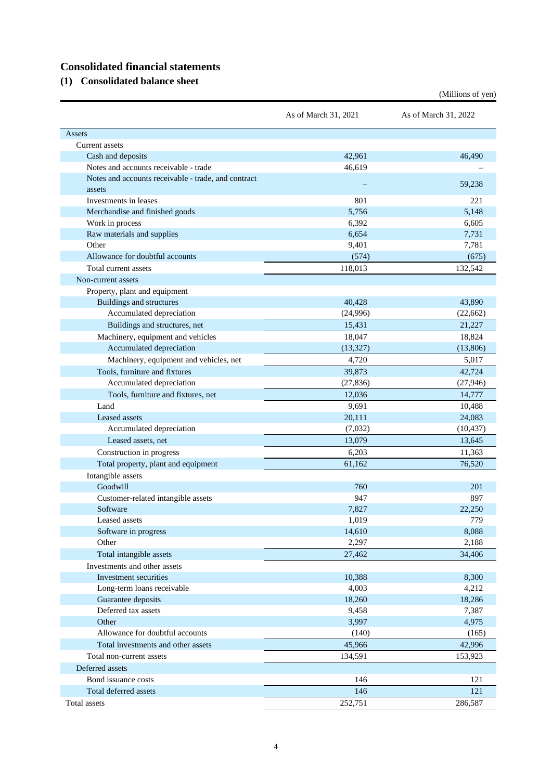# **Consolidated financial statements**

**(1) Consolidated balance sheet**

|                                                     | As of March 31, 2021 | As of March 31, 2022 |
|-----------------------------------------------------|----------------------|----------------------|
| Assets                                              |                      |                      |
| Current assets                                      |                      |                      |
| Cash and deposits                                   | 42,961               | 46,490               |
| Notes and accounts receivable - trade               | 46,619               |                      |
| Notes and accounts receivable - trade, and contract |                      |                      |
| assets                                              |                      | 59,238               |
| Investments in leases                               | 801                  | 221                  |
| Merchandise and finished goods                      | 5,756                | 5,148                |
| Work in process                                     | 6,392                | 6,605                |
| Raw materials and supplies                          | 6,654                | 7,731                |
| Other                                               | 9,401                | 7,781                |
| Allowance for doubtful accounts                     | (574)                | (675)                |
| Total current assets                                | 118,013              | 132,542              |
| Non-current assets                                  |                      |                      |
| Property, plant and equipment                       |                      |                      |
| <b>Buildings and structures</b>                     | 40,428               | 43,890               |
| Accumulated depreciation                            | (24,996)             | (22,662)             |
| Buildings and structures, net                       | 15,431               | 21.227               |
| Machinery, equipment and vehicles                   | 18,047               | 18,824               |
| Accumulated depreciation                            | (13,327)             | (13,806)             |
| Machinery, equipment and vehicles, net              | 4,720                | 5,017                |
| Tools, furniture and fixtures                       | 39,873               | 42,724               |
| Accumulated depreciation                            | (27, 836)            | (27, 946)            |
| Tools, furniture and fixtures, net                  | 12,036               | 14,777               |
| Land                                                | 9,691                | 10,488               |
| Leased assets                                       | 20,111               | 24,083               |
| Accumulated depreciation                            | (7,032)              | (10, 437)            |
| Leased assets, net                                  | 13,079               | 13,645               |
| Construction in progress                            | 6,203                | 11,363               |
| Total property, plant and equipment                 | 61,162               | 76,520               |
| Intangible assets                                   |                      |                      |
| Goodwill                                            | 760                  | 201                  |
| Customer-related intangible assets                  | 947                  | 897                  |
| Software                                            | 7,827                | 22,250               |
| Leased assets                                       | 1,019                | 779                  |
| Software in progress                                | 14,610               | 8,088                |
| Other                                               | 2,297                | 2,188                |
| Total intangible assets                             | 27,462               | 34,406               |
| Investments and other assets                        |                      |                      |
| Investment securities                               | 10,388               | 8,300                |
| Long-term loans receivable                          | 4,003                | 4,212                |
| Guarantee deposits                                  | 18,260               | 18,286               |
| Deferred tax assets                                 | 9,458                | 7,387                |
| Other                                               | 3,997                | 4,975                |
| Allowance for doubtful accounts                     | (140)                | (165)                |
| Total investments and other assets                  | 45,966               | 42,996               |
| Total non-current assets                            |                      |                      |
|                                                     | 134,591              | 153,923              |
| Deferred assets                                     |                      |                      |
| Bond issuance costs                                 | 146                  | 121                  |
| Total deferred assets                               | 146                  | 121                  |
| Total assets                                        | 252,751              | 286,587              |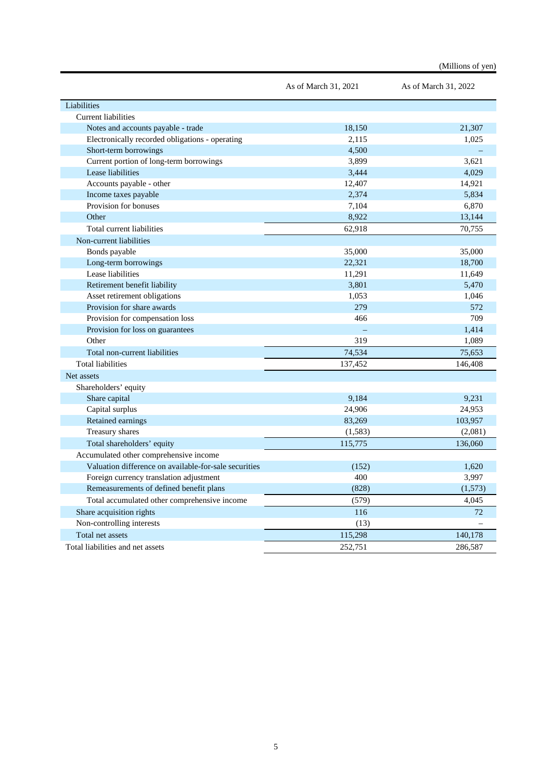|                                                       | As of March 31, 2021 | As of March 31, 2022 |
|-------------------------------------------------------|----------------------|----------------------|
| Liabilities                                           |                      |                      |
| <b>Current liabilities</b>                            |                      |                      |
| Notes and accounts payable - trade                    | 18,150               | 21,307               |
| Electronically recorded obligations - operating       | 2.115                | 1,025                |
| Short-term borrowings                                 | 4,500                |                      |
| Current portion of long-term borrowings               | 3,899                | 3,621                |
| Lease liabilities                                     | 3,444                | 4.029                |
| Accounts payable - other                              | 12,407               | 14,921               |
| Income taxes payable                                  | 2,374                | 5,834                |
| Provision for bonuses                                 | 7,104                | 6,870                |
| Other                                                 | 8,922                | 13,144               |
| Total current liabilities                             | 62,918               | 70,755               |
| Non-current liabilities                               |                      |                      |
| Bonds payable                                         | 35,000               | 35,000               |
| Long-term borrowings                                  | 22,321               | 18,700               |
| Lease liabilities                                     | 11,291               | 11,649               |
| Retirement benefit liability                          | 3,801                | 5,470                |
| Asset retirement obligations                          | 1,053                | 1,046                |
| Provision for share awards                            | 279                  | 572                  |
| Provision for compensation loss                       | 466                  | 709                  |
| Provision for loss on guarantees                      |                      | 1,414                |
| Other                                                 | 319                  | 1,089                |
| Total non-current liabilities                         | 74,534               | 75,653               |
| <b>Total liabilities</b>                              | 137,452              | 146,408              |
| Net assets                                            |                      |                      |
| Shareholders' equity                                  |                      |                      |
| Share capital                                         | 9,184                | 9,231                |
| Capital surplus                                       | 24,906               | 24,953               |
| Retained earnings                                     | 83,269               | 103,957              |
| Treasury shares                                       | (1, 583)             | (2,081)              |
| Total shareholders' equity                            | 115,775              | 136,060              |
| Accumulated other comprehensive income                |                      |                      |
| Valuation difference on available-for-sale securities | (152)                | 1,620                |
| Foreign currency translation adjustment               | 400                  | 3,997                |
| Remeasurements of defined benefit plans               | (828)                | (1,573)              |
| Total accumulated other comprehensive income          | (579)                | 4,045                |
| Share acquisition rights                              | 116                  | 72                   |
| Non-controlling interests                             | (13)                 |                      |
| Total net assets                                      | 115,298              | 140,178              |
| Total liabilities and net assets                      | 252,751              | 286,587              |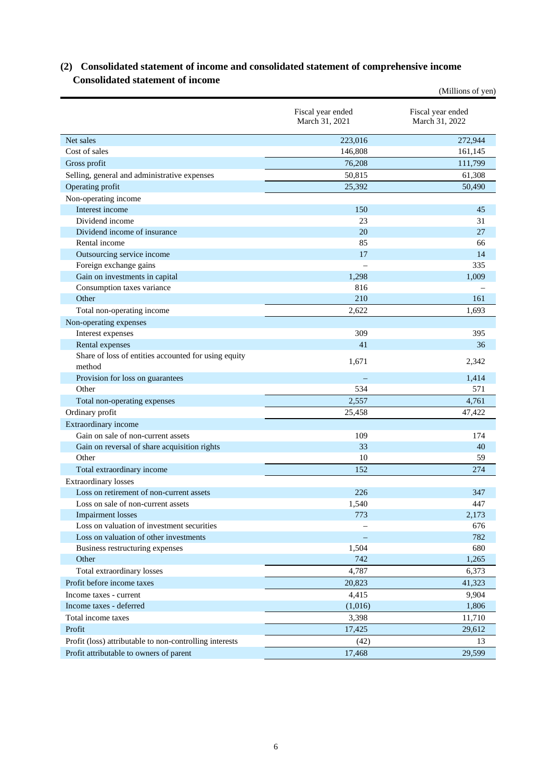## **(2) Consolidated statement of income and consolidated statement of comprehensive income Consolidated statement of income**

|                                                         |                                     | (Millions of yen)                   |
|---------------------------------------------------------|-------------------------------------|-------------------------------------|
|                                                         | Fiscal year ended<br>March 31, 2021 | Fiscal year ended<br>March 31, 2022 |
| Net sales                                               | 223,016                             | 272,944                             |
| Cost of sales                                           | 146,808                             | 161,145                             |
| Gross profit                                            | 76,208                              | 111,799                             |
| Selling, general and administrative expenses            | 50,815                              | 61,308                              |
| Operating profit                                        | 25,392                              | 50,490                              |
| Non-operating income                                    |                                     |                                     |
| Interest income                                         | 150                                 | 45                                  |
| Dividend income                                         | 23                                  | 31                                  |
| Dividend income of insurance                            | 20                                  | 27                                  |
| Rental income                                           | 85                                  | 66                                  |
| Outsourcing service income                              | 17                                  | 14                                  |
| Foreign exchange gains                                  |                                     | 335                                 |
| Gain on investments in capital                          | 1,298                               | 1.009                               |
| Consumption taxes variance                              | 816                                 |                                     |
| Other                                                   | 210                                 | 161                                 |
| Total non-operating income                              | 2,622                               | 1,693                               |
| Non-operating expenses                                  |                                     |                                     |
| Interest expenses                                       | 309                                 | 395                                 |
| Rental expenses                                         | 41                                  | 36                                  |
| Share of loss of entities accounted for using equity    | 1,671                               | 2,342                               |
| method                                                  |                                     |                                     |
| Provision for loss on guarantees<br>Other               |                                     | 1,414                               |
|                                                         | 534                                 | 571                                 |
| Total non-operating expenses                            | 2,557                               | 4,761                               |
| Ordinary profit                                         | 25,458                              | 47,422                              |
| Extraordinary income                                    |                                     |                                     |
| Gain on sale of non-current assets                      | 109                                 | 174                                 |
| Gain on reversal of share acquisition rights            | 33                                  | 40                                  |
| Other                                                   | 10                                  | 59                                  |
| Total extraordinary income                              | 152                                 | 274                                 |
| <b>Extraordinary losses</b>                             |                                     |                                     |
| Loss on retirement of non-current assets                | 226                                 | 347                                 |
| Loss on sale of non-current assets                      | 1,540                               | 447                                 |
| <b>Impairment</b> losses                                | 773                                 | 2,173                               |
| Loss on valuation of investment securities              |                                     | 676                                 |
| Loss on valuation of other investments                  |                                     | 782                                 |
| Business restructuring expenses                         | 1,504                               | 680                                 |
| Other                                                   | 742                                 | 1,265                               |
| Total extraordinary losses                              | 4,787                               | 6,373                               |
| Profit before income taxes                              | 20,823                              | 41,323                              |
| Income taxes - current                                  | 4,415                               | 9,904                               |
| Income taxes - deferred                                 | (1,016)                             | 1,806                               |
| Total income taxes                                      | 3,398                               | 11,710                              |
| Profit                                                  | 17,425                              | 29,612                              |
| Profit (loss) attributable to non-controlling interests | (42)                                | 13                                  |
| Profit attributable to owners of parent                 | 17,468                              | 29,599                              |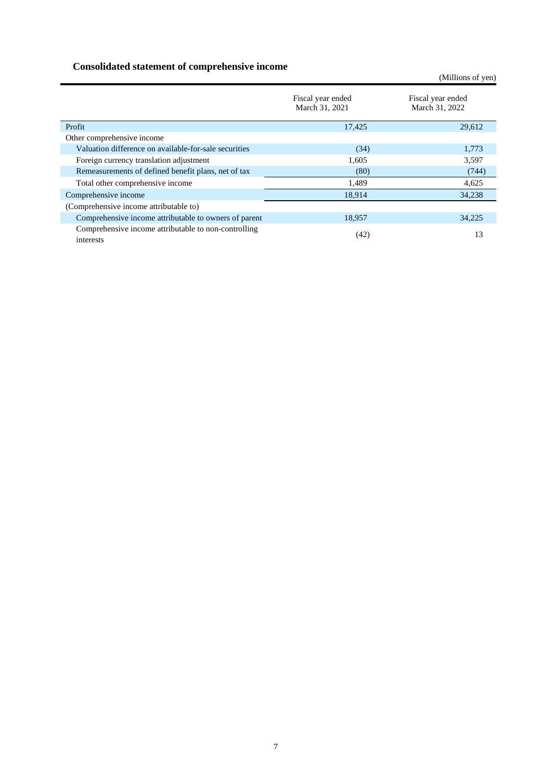## **Consolidated statement of comprehensive income**

Fiscal year ended March 31, 2021 Fiscal year ended March 31, 2022 Profit 29,612 2006 2012 2013 2014 2014 2015 2016 2017 2020 2014 2016 2017 2018 2014 2015 2016 2017 2018 2017 20 Other comprehensive income Valuation difference on available-for-sale securities (34) 1,773<br>
Foreign currency translation adjustment 1,605 3,597 Foreign currency translation adjustment 1,605 Remeasurements of defined benefit plans, net of tax (80) (744) Total other comprehensive income 1,489 4,625 Comprehensive income 18,914 34,238 (Comprehensive income attributable to) Comprehensive income attributable to owners of parent 18,957 34,225 Comprehensive income attributable to non-controlling  $\frac{13}{13}$  interests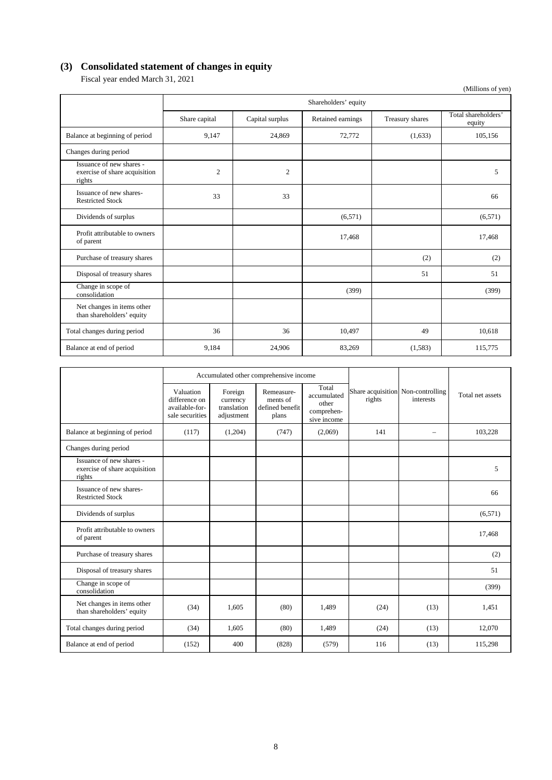# **(3) Consolidated statement of changes in equity**

Fiscal year ended March 31, 2021

|                                                                     |                      |                 |                   |                 | (Millions of yen)             |  |  |
|---------------------------------------------------------------------|----------------------|-----------------|-------------------|-----------------|-------------------------------|--|--|
|                                                                     | Shareholders' equity |                 |                   |                 |                               |  |  |
|                                                                     | Share capital        | Capital surplus | Retained earnings | Treasury shares | Total shareholders'<br>equity |  |  |
| Balance at beginning of period                                      | 9,147                | 24,869          | 72,772            | (1,633)         | 105,156                       |  |  |
| Changes during period                                               |                      |                 |                   |                 |                               |  |  |
| Issuance of new shares -<br>exercise of share acquisition<br>rights | $\overline{2}$       | $\overline{2}$  |                   |                 | 5                             |  |  |
| Issuance of new shares-<br><b>Restricted Stock</b>                  | 33                   | 33              |                   |                 | 66                            |  |  |
| Dividends of surplus                                                |                      |                 | (6,571)           |                 | (6,571)                       |  |  |
| Profit attributable to owners<br>of parent                          |                      |                 | 17,468            |                 | 17,468                        |  |  |
| Purchase of treasury shares                                         |                      |                 |                   | (2)             | (2)                           |  |  |
| Disposal of treasury shares                                         |                      |                 |                   | 51              | 51                            |  |  |
| Change in scope of<br>consolidation                                 |                      |                 | (399)             |                 | (399)                         |  |  |
| Net changes in items other<br>than shareholders' equity             |                      |                 |                   |                 |                               |  |  |
| Total changes during period                                         | 36                   | 36              | 10,497            | 49              | 10,618                        |  |  |
| Balance at end of period                                            | 9.184                | 24,906          | 83,269            | (1,583)         | 115,775                       |  |  |

|                                                                     | Accumulated other comprehensive income                          |                                                  |                                                    |                                                            |                                             |           |                  |
|---------------------------------------------------------------------|-----------------------------------------------------------------|--------------------------------------------------|----------------------------------------------------|------------------------------------------------------------|---------------------------------------------|-----------|------------------|
|                                                                     | Valuation<br>difference on<br>available-for-<br>sale securities | Foreign<br>currency<br>translation<br>adjustment | Remeasure-<br>ments of<br>defined benefit<br>plans | Total<br>accumulated<br>other<br>comprehen-<br>sive income | Share acquisition Non-controlling<br>rights | interests | Total net assets |
| Balance at beginning of period                                      | (117)                                                           | (1,204)                                          | (747)                                              | (2,069)                                                    | 141                                         | $\equiv$  | 103,228          |
| Changes during period                                               |                                                                 |                                                  |                                                    |                                                            |                                             |           |                  |
| Issuance of new shares -<br>exercise of share acquisition<br>rights |                                                                 |                                                  |                                                    |                                                            |                                             |           | 5                |
| Issuance of new shares-<br><b>Restricted Stock</b>                  |                                                                 |                                                  |                                                    |                                                            |                                             |           | 66               |
| Dividends of surplus                                                |                                                                 |                                                  |                                                    |                                                            |                                             |           | (6,571)          |
| Profit attributable to owners<br>of parent                          |                                                                 |                                                  |                                                    |                                                            |                                             |           | 17,468           |
| Purchase of treasury shares                                         |                                                                 |                                                  |                                                    |                                                            |                                             |           | (2)              |
| Disposal of treasury shares                                         |                                                                 |                                                  |                                                    |                                                            |                                             |           | 51               |
| Change in scope of<br>consolidation                                 |                                                                 |                                                  |                                                    |                                                            |                                             |           | (399)            |
| Net changes in items other<br>than shareholders' equity             | (34)                                                            | 1,605                                            | (80)                                               | 1,489                                                      | (24)                                        | (13)      | 1,451            |
| Total changes during period                                         | (34)                                                            | 1,605                                            | (80)                                               | 1,489                                                      | (24)                                        | (13)      | 12,070           |
| Balance at end of period                                            | (152)                                                           | 400                                              | (828)                                              | (579)                                                      | 116                                         | (13)      | 115,298          |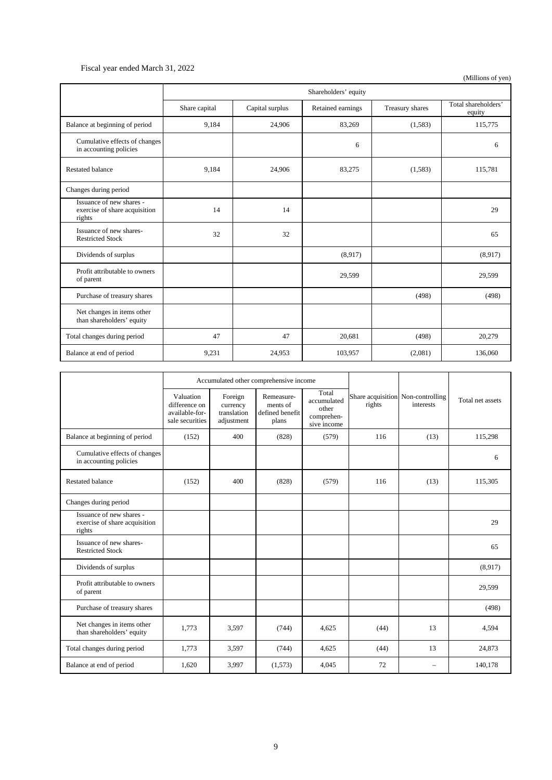### Fiscal year ended March 31, 2022

|                                                                     | Shareholders' equity |                 |                   |                 |                               |  |
|---------------------------------------------------------------------|----------------------|-----------------|-------------------|-----------------|-------------------------------|--|
|                                                                     | Share capital        | Capital surplus | Retained earnings | Treasury shares | Total shareholders'<br>equity |  |
| Balance at beginning of period                                      | 9.184                | 24,906          | 83,269            | (1,583)         | 115,775                       |  |
| Cumulative effects of changes<br>in accounting policies             |                      |                 | 6                 |                 | 6                             |  |
| Restated balance                                                    | 9,184                | 24,906          | 83,275            | (1,583)         | 115,781                       |  |
| Changes during period                                               |                      |                 |                   |                 |                               |  |
| Issuance of new shares -<br>exercise of share acquisition<br>rights | 14                   | 14              |                   |                 | 29                            |  |
| Issuance of new shares-<br><b>Restricted Stock</b>                  | 32                   | 32              |                   |                 | 65                            |  |
| Dividends of surplus                                                |                      |                 | (8,917)           |                 | (8,917)                       |  |
| Profit attributable to owners<br>of parent                          |                      |                 | 29,599            |                 | 29,599                        |  |
| Purchase of treasury shares                                         |                      |                 |                   | (498)           | (498)                         |  |
| Net changes in items other<br>than shareholders' equity             |                      |                 |                   |                 |                               |  |
| Total changes during period                                         | 47                   | 47              | 20.681            | (498)           | 20,279                        |  |
| Balance at end of period                                            | 9,231                | 24,953          | 103,957           | (2,081)         | 136,060                       |  |

| Accumulated other comprehensive income                              |                                                                 |                                                  |                                                    |                                                            |                                             |           |                  |
|---------------------------------------------------------------------|-----------------------------------------------------------------|--------------------------------------------------|----------------------------------------------------|------------------------------------------------------------|---------------------------------------------|-----------|------------------|
|                                                                     | Valuation<br>difference on<br>available-for-<br>sale securities | Foreign<br>currency<br>translation<br>adjustment | Remeasure-<br>ments of<br>defined benefit<br>plans | Total<br>accumulated<br>other<br>comprehen-<br>sive income | Share acquisition Non-controlling<br>rights | interests | Total net assets |
| Balance at beginning of period                                      | (152)                                                           | 400                                              | (828)                                              | (579)                                                      | 116                                         | (13)      | 115,298          |
| Cumulative effects of changes<br>in accounting policies             |                                                                 |                                                  |                                                    |                                                            |                                             |           | 6                |
| <b>Restated balance</b>                                             | (152)                                                           | 400                                              | (828)                                              | (579)                                                      | 116                                         | (13)      | 115,305          |
| Changes during period                                               |                                                                 |                                                  |                                                    |                                                            |                                             |           |                  |
| Issuance of new shares -<br>exercise of share acquisition<br>rights |                                                                 |                                                  |                                                    |                                                            |                                             |           | 29               |
| Issuance of new shares-<br><b>Restricted Stock</b>                  |                                                                 |                                                  |                                                    |                                                            |                                             |           | 65               |
| Dividends of surplus                                                |                                                                 |                                                  |                                                    |                                                            |                                             |           | (8,917)          |
| Profit attributable to owners<br>of parent                          |                                                                 |                                                  |                                                    |                                                            |                                             |           | 29,599           |
| Purchase of treasury shares                                         |                                                                 |                                                  |                                                    |                                                            |                                             |           | (498)            |
| Net changes in items other<br>than shareholders' equity             | 1,773                                                           | 3,597                                            | (744)                                              | 4,625                                                      | (44)                                        | 13        | 4,594            |
| Total changes during period                                         | 1,773                                                           | 3,597                                            | (744)                                              | 4,625                                                      | (44)                                        | 13        | 24,873           |
| Balance at end of period                                            | 1,620                                                           | 3,997                                            | (1,573)                                            | 4,045                                                      | 72                                          |           | 140,178          |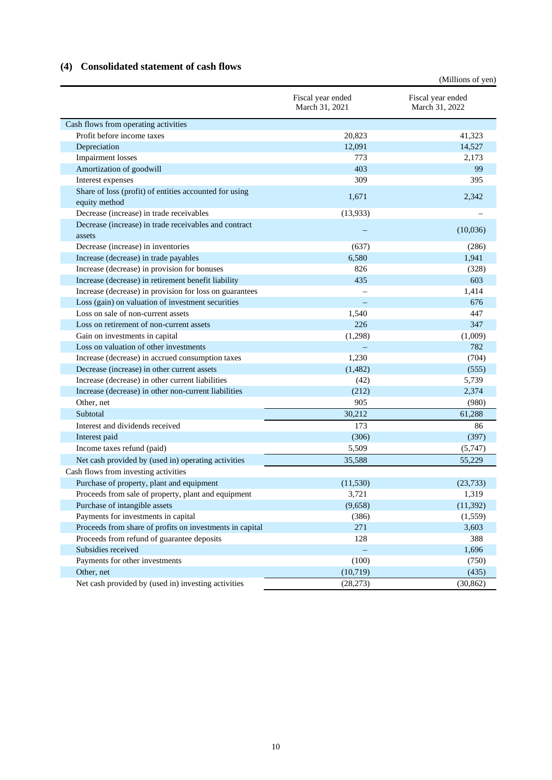## **(4) Consolidated statement of cash flows**

|                                                          |                                     | (Millions of yen)                   |
|----------------------------------------------------------|-------------------------------------|-------------------------------------|
|                                                          | Fiscal year ended<br>March 31, 2021 | Fiscal year ended<br>March 31, 2022 |
| Cash flows from operating activities                     |                                     |                                     |
| Profit before income taxes                               | 20,823                              | 41,323                              |
| Depreciation                                             | 12,091                              | 14,527                              |
| Impairment losses                                        | 773                                 | 2,173                               |
| Amortization of goodwill                                 | 403                                 | 99                                  |
| Interest expenses                                        | 309                                 | 395                                 |
| Share of loss (profit) of entities accounted for using   |                                     |                                     |
| equity method                                            | 1,671                               | 2,342                               |
| Decrease (increase) in trade receivables                 | (13,933)                            |                                     |
| Decrease (increase) in trade receivables and contract    |                                     |                                     |
| assets                                                   |                                     | (10,036)                            |
| Decrease (increase) in inventories                       | (637)                               | (286)                               |
| Increase (decrease) in trade payables                    | 6,580                               | 1,941                               |
| Increase (decrease) in provision for bonuses             | 826                                 | (328)                               |
| Increase (decrease) in retirement benefit liability      | 435                                 | 603                                 |
| Increase (decrease) in provision for loss on guarantees  |                                     | 1,414                               |
| Loss (gain) on valuation of investment securities        |                                     | 676                                 |
| Loss on sale of non-current assets                       | 1,540                               | 447                                 |
| Loss on retirement of non-current assets                 | 226                                 | 347                                 |
| Gain on investments in capital                           | (1,298)                             | (1,009)                             |
| Loss on valuation of other investments                   |                                     | 782                                 |
| Increase (decrease) in accrued consumption taxes         | 1,230                               | (704)                               |
| Decrease (increase) in other current assets              | (1,482)                             | (555)                               |
| Increase (decrease) in other current liabilities         | (42)                                | 5,739                               |
| Increase (decrease) in other non-current liabilities     | (212)                               | 2,374                               |
| Other, net                                               | 905                                 | (980)                               |
| Subtotal                                                 | 30,212                              | 61,288                              |
| Interest and dividends received                          | 173                                 | 86                                  |
| Interest paid                                            | (306)                               | (397)                               |
| Income taxes refund (paid)                               | 5,509                               | (5,747)                             |
| Net cash provided by (used in) operating activities      | 35,588                              | 55,229                              |
| Cash flows from investing activities                     |                                     |                                     |
| Purchase of property, plant and equipment                | (11,530)                            | (23, 733)                           |
| Proceeds from sale of property, plant and equipment      | 3,721                               | 1,319                               |
| Purchase of intangible assets                            | (9,658)                             | (11, 392)                           |
| Payments for investments in capital                      | (386)                               | (1, 559)                            |
| Proceeds from share of profits on investments in capital | 271                                 | 3,603                               |
| Proceeds from refund of guarantee deposits               | 128                                 | 388                                 |
| Subsidies received                                       |                                     | 1,696                               |
| Payments for other investments                           | (100)                               | (750)                               |
| Other, net                                               | (10,719)                            | (435)                               |
| Net cash provided by (used in) investing activities      | (28, 273)                           | (30, 862)                           |